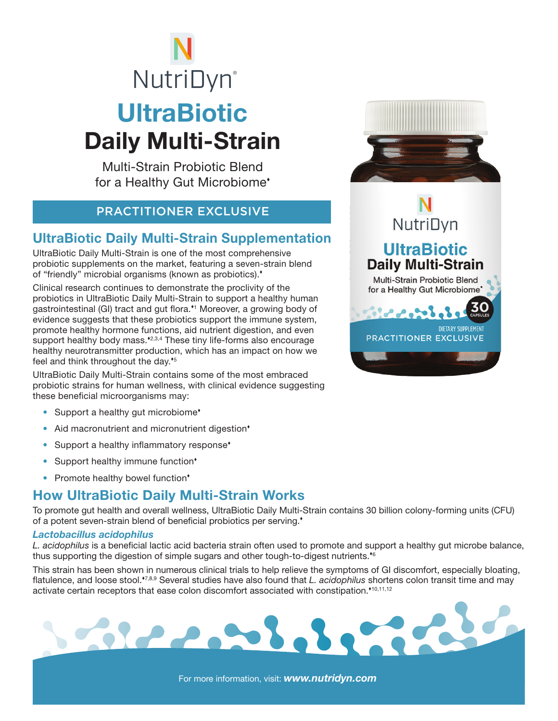# **UltraBiotic** Daily Multi-Strain **NutriDyn**®

Multi-Strain Probiotic Blend for a Healthy Gut Microbiome

#### PRACTITIONER EXCLUSIVE

#### UltraBiotic Daily Multi-Strain Supplementation

UltraBiotic Daily Multi-Strain is one of the most comprehensive probiotic supplements on the market, featuring a seven-strain blend of "friendly" microbial organisms (known as probiotics).

Clinical research continues to demonstrate the proclivity of the probiotics in UltraBiotic Daily Multi-Strain to support a healthy human gastrointestinal (GI) tract and gut flora.\*1 Moreover, a growing body of evidence suggests that these probiotics support the immune system, promote healthy hormone functions, aid nutrient digestion, and even support healthy body mass.<sup>42,3,4</sup> These tiny life-forms also encourage healthy neurotransmitter production, which has an impact on how we feel and think throughout the day.<sup>45</sup>

UltraBiotic Daily Multi-Strain contains some of the most embraced probiotic strains for human wellness, with clinical evidence suggesting these beneficial microorganisms may:

- Support a healthy gut microbiome<sup>\*</sup>
- Aid macronutrient and micronutrient digestion<sup>\*</sup>
- Support a healthy inflammatory response<sup>\*</sup>
- Support healthy immune function<sup>\*</sup>
- Promote healthy bowel function\*

### How UltraBiotic Daily Multi-Strain Works

To promote gut health and overall wellness, UltraBiotic Daily Multi-Strain contains 30 billion colony-forming units (CFU) of a potent seven-strain blend of beneficial probiotics per serving.

#### *Lactobacillus acidophilus*

*L. acidophilus* is a beneficial lactic acid bacteria strain often used to promote and support a healthy gut microbe balance, thus supporting the digestion of simple sugars and other tough-to-digest nutrients.<sup>66</sup>

This strain has been shown in numerous clinical trials to help relieve the symptoms of GI discomfort, especially bloating, flatulence, and loose stool.<sup>\*7,8,9</sup> Several studies have also found that *L. acidophilus* shortens colon transit time and may activate certain receptors that ease colon discomfort associated with constipation.<sup>\*10,11,12</sup>